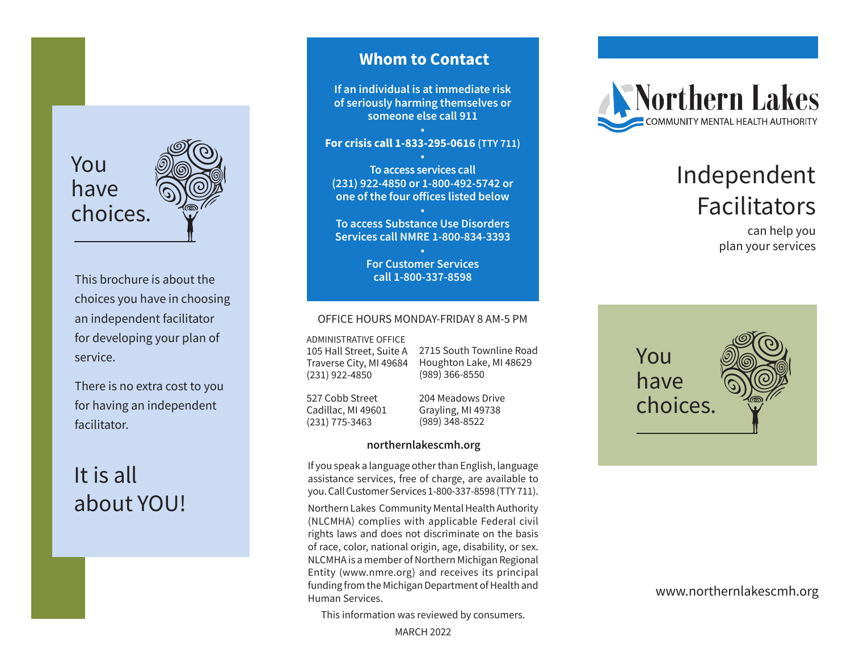

This brochure is about the choices you have in choosing an independent facilitator for developing your plan of service.

There is no extra cost to you for having an independent facilitator.

## It is all about YOU!

## **Whom to Contact**

**If an individual is at immediate risk of seriously harming themselves or someone else call 911**

**• For crisis call 1-833-295-0616 (TTY 711) •**

**To access services call (231) 922-4850 or 1-800-492-5742 or one of the four offices listed below**

**• To access Substance Use Disorders Services call NMRE 1-800-834-3393**

> **• For Customer Services call 1-800-337-8598**

#### OFFICE HOURS MONDAY-FRIDAY 8 AM-5 PM

ADMINISTRATIVE OFFICE

105 Hall Street, Suite A Traverse City, MI 49684 (231) 922-4850

2715 South Townline Road Houghton Lake, MI 48629 (989) 366-8550

527 Cobb Street Cadillac, MI 49601 (231) 775-3463

204 Meadows Drive Grayling, MI 49738 (989) 348-8522

#### **northernlakescmh.org**

If you speak a language other than English, language assistance services, free of charge, are available to you. Call Customer Services 1-800-337-8598 (TTY 711).

Northern Lakes Community Mental Health Authority (NLCMHA) complies with applicable Federal civil rights laws and does not discriminate on the basis of race, color, national origin, age, disability, or sex. NLCMHA is a member of Northern Michigan Regional Entity (www.nmre.org) and receives its principal funding from the Michigan Department of Health and Human Services.

This information was reviewed by consumers.

MARCH 2022



# Independent Facilitators

can help you plan your services



### www.northernlakescmh.org